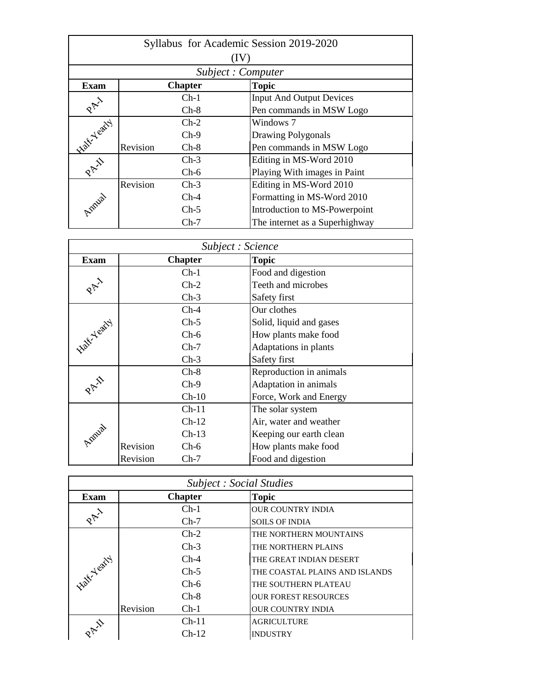| Syllabus for Academic Session 2019-2020 |          |                |  |                                 |  |
|-----------------------------------------|----------|----------------|--|---------------------------------|--|
|                                         |          |                |  |                                 |  |
|                                         |          |                |  | Subject: Computer               |  |
| <b>Exam</b>                             |          | <b>Chapter</b> |  | <b>Topic</b>                    |  |
|                                         |          | $Ch-1$         |  | <b>Input And Output Devices</b> |  |
| $\mathcal{R}^{\uparrow\downarrow}$      |          | $Ch-8$         |  | Pen commands in MSW Logo        |  |
| <b>Native Yeary</b>                     |          | $Ch-2$         |  | Windows 7                       |  |
|                                         |          | $Ch-9$         |  | <b>Drawing Polygonals</b>       |  |
|                                         | Revision | $Ch-8$         |  | Pen commands in MSW Logo        |  |
| PAY                                     |          | $Ch-3$         |  | Editing in MS-Word 2010         |  |
|                                         |          | $Ch-6$         |  | Playing With images in Paint    |  |
|                                         | Revision | $Ch-3$         |  | Editing in MS-Word 2010         |  |
| Lonial                                  |          | $Ch-4$         |  | Formatting in MS-Word 2010      |  |
|                                         |          | $Ch-5$         |  | Introduction to MS-Powerpoint   |  |
|                                         |          | $Ch-7$         |  | The internet as a Superhighway  |  |

|                             | Subject : Science |                |  |                         |  |  |
|-----------------------------|-------------------|----------------|--|-------------------------|--|--|
| <b>Exam</b>                 |                   | <b>Chapter</b> |  | <b>Topic</b>            |  |  |
|                             |                   | $Ch-1$         |  | Food and digestion      |  |  |
| $\mathcal{R}_{\mathcal{P}}$ |                   | $Ch-2$         |  | Teeth and microbes      |  |  |
|                             |                   | $Ch-3$         |  | Safety first            |  |  |
|                             |                   | $Ch-4$         |  | Our clothes             |  |  |
|                             |                   | $Ch-5$         |  | Solid, liquid and gases |  |  |
|                             |                   | $Ch-6$         |  | How plants make food    |  |  |
| <b>Native Yeary</b>         |                   | $Ch-7$         |  | Adaptations in plants   |  |  |
|                             |                   | $Ch-3$         |  | Safety first            |  |  |
|                             |                   | $Ch-8$         |  | Reproduction in animals |  |  |
| PAY                         |                   | $Ch-9$         |  | Adaptation in animals   |  |  |
|                             |                   | $Ch-10$        |  | Force, Work and Energy  |  |  |
|                             |                   | $Ch-11$        |  | The solar system        |  |  |
| Innial                      |                   | $Ch-12$        |  | Air, water and weather  |  |  |
|                             |                   | $Ch-13$        |  | Keeping our earth clean |  |  |
|                             | Revision          | $Ch-6$         |  | How plants make food    |  |  |
|                             | Revision          | $Ch-7$         |  | Food and digestion      |  |  |

| <b>Subject : Social Studies</b>          |          |                |  |                                |  |
|------------------------------------------|----------|----------------|--|--------------------------------|--|
| <b>Exam</b>                              |          | <b>Chapter</b> |  | <b>Topic</b>                   |  |
|                                          |          | $Ch-1$         |  | <b>OUR COUNTRY INDIA</b>       |  |
| PAY )                                    |          | $Ch-7$         |  | <b>SOILS OF INDIA</b>          |  |
|                                          |          | $Ch-2$         |  | THE NORTHERN MOUNTAINS         |  |
|                                          |          | $Ch-3$         |  | THE NORTHERN PLAINS            |  |
| <b>Half-Yeary</b>                        |          | $Ch-4$         |  | THE GREAT INDIAN DESERT        |  |
|                                          |          | $Ch-5$         |  | THE COASTAL PLAINS AND ISLANDS |  |
|                                          |          | $Ch-6$         |  | THE SOUTHERN PLATEAU           |  |
|                                          |          | $Ch-8$         |  | <b>OUR FOREST RESOURCES</b>    |  |
|                                          | Revision | $Ch-1$         |  | <b>OUR COUNTRY INDIA</b>       |  |
| $\hat{\mathcal{X}}_{\mathcal{A},\alpha}$ |          | $Ch-11$        |  | <b>AGRICULTURE</b>             |  |
|                                          |          | $Ch-12$        |  | <b>INDUSTRY</b>                |  |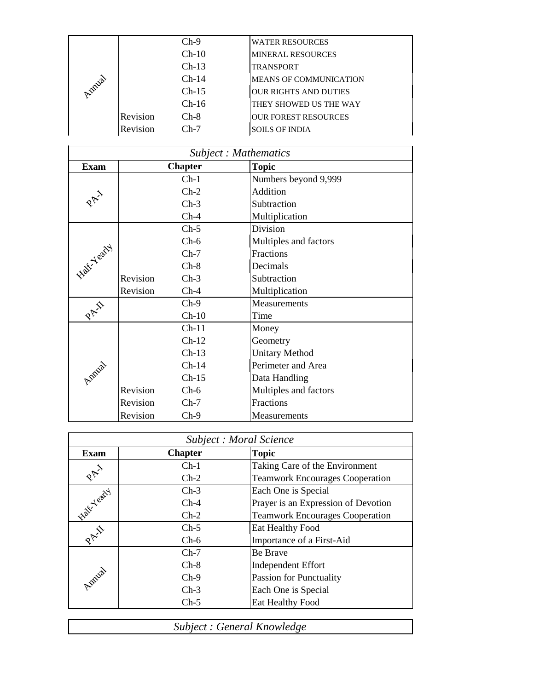|               |          | $Ch-9$  | <b>WATER RESOURCES</b>        |
|---------------|----------|---------|-------------------------------|
|               |          | $Ch-10$ | <b>MINERAL RESOURCES</b>      |
|               |          | $Ch-13$ | TRANSPORT                     |
| <b>Indual</b> |          | $Ch-14$ | <b>MEANS OF COMMUNICATION</b> |
|               |          | $Ch-15$ | <b>OUR RIGHTS AND DUTIES</b>  |
|               |          | $Ch-16$ | THEY SHOWED US THE WAY        |
|               | Revision | $Ch-8$  | <b>OUR FOREST RESOURCES</b>   |
|               | Revision | $Ch-7$  | <b>SOILS OF INDIA</b>         |

|             | Subject: Mathematics |         |                       |  |  |  |
|-------------|----------------------|---------|-----------------------|--|--|--|
| <b>Exam</b> | <b>Chapter</b>       |         | <b>Topic</b>          |  |  |  |
|             |                      | $Ch-1$  | Numbers beyond 9,999  |  |  |  |
|             |                      | $Ch-2$  | Addition              |  |  |  |
| PAY         |                      | $Ch-3$  | Subtraction           |  |  |  |
|             |                      | $Ch-4$  | Multiplication        |  |  |  |
|             |                      | $Ch-5$  | Division              |  |  |  |
|             |                      | $Ch-6$  | Multiples and factors |  |  |  |
|             |                      | $Ch-7$  | Fractions             |  |  |  |
| Halt-Yearty |                      | $Ch-8$  | Decimals              |  |  |  |
|             | Revision             | $Ch-3$  | Subtraction           |  |  |  |
|             | Revision             | $Ch-4$  | Multiplication        |  |  |  |
| PAI         |                      | $Ch-9$  | Measurements          |  |  |  |
|             |                      | $Ch-10$ | Time                  |  |  |  |
|             |                      | $Ch-11$ | Money                 |  |  |  |
|             |                      | $Ch-12$ | Geometry              |  |  |  |
|             |                      | $Ch-13$ | <b>Unitary Method</b> |  |  |  |
|             |                      | $Ch-14$ | Perimeter and Area    |  |  |  |
| Annial      |                      | $Ch-15$ | Data Handling         |  |  |  |
|             | Revision             | $Ch-6$  | Multiples and factors |  |  |  |
|             | Revision             | $Ch-7$  | Fractions             |  |  |  |
|             | Revision             | $Ch-9$  | Measurements          |  |  |  |

|             | Subject : Moral Science |                                        |  |  |  |
|-------------|-------------------------|----------------------------------------|--|--|--|
| <b>Exam</b> | <b>Chapter</b>          | <b>Topic</b>                           |  |  |  |
|             | $Ch-1$                  | Taking Care of the Environment         |  |  |  |
| PAY         | $Ch-2$                  | <b>Teamwork Encourages Cooperation</b> |  |  |  |
|             | $Ch-3$                  | Each One is Special                    |  |  |  |
| Halt Yeary  | $Ch-4$                  | Prayer is an Expression of Devotion    |  |  |  |
|             | $Ch-2$                  | <b>Teamwork Encourages Cooperation</b> |  |  |  |
| PAI         | $Ch-5$                  | Eat Healthy Food                       |  |  |  |
|             | $Ch-6$                  | Importance of a First-Aid              |  |  |  |
| Lonial      | $Ch-7$                  | <b>Be Brave</b>                        |  |  |  |
|             | $Ch-8$                  | <b>Independent Effort</b>              |  |  |  |
|             | $Ch-9$                  | <b>Passion for Punctuality</b>         |  |  |  |
|             | $Ch-3$                  | Each One is Special                    |  |  |  |
|             | $Ch-5$                  | Eat Healthy Food                       |  |  |  |

*Subject : General Knowledge*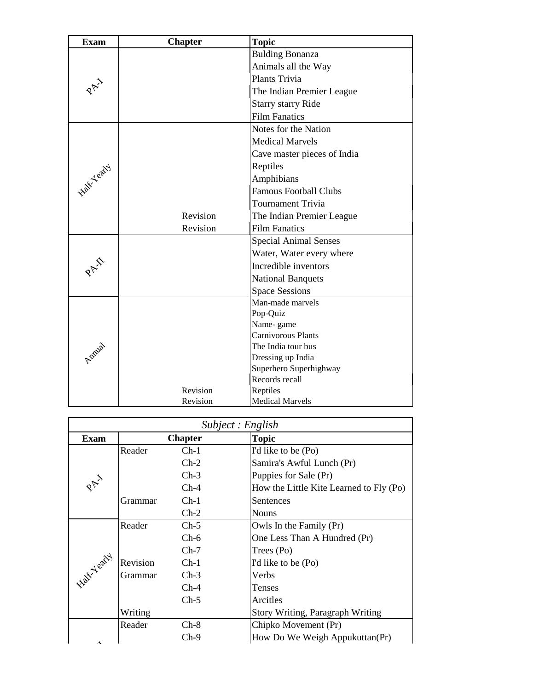| <b>Exam</b> | <b>Chapter</b> | <b>Topic</b>                             |
|-------------|----------------|------------------------------------------|
|             |                | <b>Bulding Bonanza</b>                   |
|             |                | Animals all the Way                      |
|             |                | Plants Trivia                            |
|             |                | The Indian Premier League                |
|             |                | <b>Starry starry Ride</b>                |
|             |                | <b>Film Fanatics</b>                     |
|             |                | Notes for the Nation                     |
|             |                | <b>Medical Marvels</b>                   |
|             |                | Cave master pieces of India              |
| Half-Yearty |                | Reptiles                                 |
|             |                | Amphibians                               |
|             |                | <b>Famous Football Clubs</b>             |
|             |                | <b>Tournament Trivia</b>                 |
|             | Revision       | The Indian Premier League                |
|             | Revision       | <b>Film Fanatics</b>                     |
|             |                | <b>Special Animal Senses</b>             |
|             |                | Water, Water every where                 |
|             |                | Incredible inventors                     |
|             |                | <b>National Banquets</b>                 |
|             |                | <b>Space Sessions</b>                    |
|             |                | Man-made marvels                         |
|             |                | Pop-Quiz                                 |
| Annial      |                | Name-game                                |
|             |                | <b>Carnivorous Plants</b>                |
|             |                | The India tour bus                       |
|             |                | Dressing up India                        |
|             |                | Superhero Superhighway<br>Records recall |
|             |                |                                          |
|             | Revision       | Reptiles                                 |
|             | Revision       | <b>Medical Marvels</b>                   |

|                    | Subject : English |                |                                         |  |  |
|--------------------|-------------------|----------------|-----------------------------------------|--|--|
| <b>Exam</b>        |                   | <b>Chapter</b> | <b>Topic</b>                            |  |  |
|                    | Reader            | $Ch-1$         | I'd like to be (Po)                     |  |  |
|                    |                   | $Ch-2$         | Samira's Awful Lunch (Pr)               |  |  |
|                    |                   | $Ch-3$         | Puppies for Sale (Pr)                   |  |  |
| PAY                |                   | $Ch-4$         | How the Little Kite Learned to Fly (Po) |  |  |
|                    | Grammar           | $Ch-1$         | Sentences                               |  |  |
|                    |                   | $Ch-2$         | <b>Nouns</b>                            |  |  |
|                    | Reader            | $Ch-5$         | Owls In the Family (Pr)                 |  |  |
|                    |                   | $Ch-6$         | One Less Than A Hundred (Pr)            |  |  |
|                    |                   | $Ch-7$         | Trees (Po)                              |  |  |
|                    | Revision          | $Ch-1$         | I'd like to be (Po)                     |  |  |
| <b>Latt-Yearty</b> | Grammar           | $Ch-3$         | Verbs                                   |  |  |
|                    |                   | $Ch-4$         | Tenses                                  |  |  |
|                    |                   | $Ch-5$         | Arcitles                                |  |  |
|                    | Writing           |                | Story Writing, Paragraph Writing        |  |  |
|                    | Reader            | $Ch-8$         | Chipko Movement (Pr)                    |  |  |
| Ā                  |                   | $Ch-9$         | How Do We Weigh Appukuttan(Pr)          |  |  |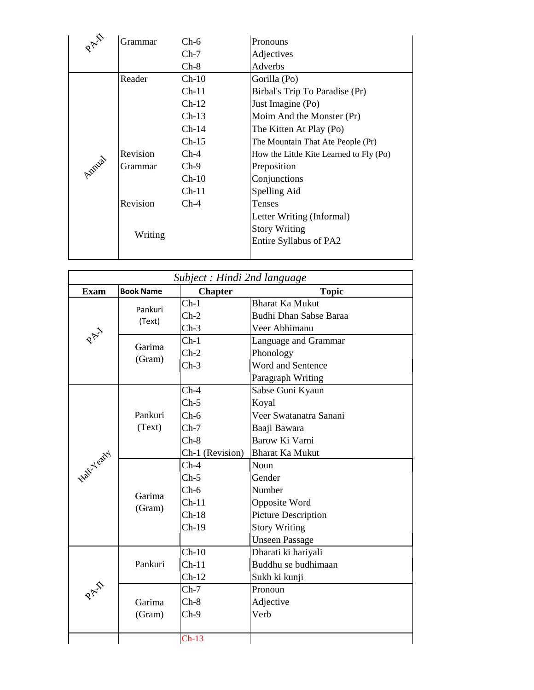| $\mathcal{R}$ | Grammar        | $Ch-6$  | Pronouns                                |
|---------------|----------------|---------|-----------------------------------------|
|               |                | $Ch-7$  | Adjectives                              |
|               |                | $Ch-8$  | Adverbs                                 |
|               | Reader         | $Ch-10$ | Gorilla (Po)                            |
|               |                | $Ch-11$ | Birbal's Trip To Paradise (Pr)          |
|               |                | $Ch-12$ | Just Imagine (Po)                       |
|               |                | $Ch-13$ | Moim And the Monster (Pr)               |
|               |                | $Ch-14$ | The Kitten At Play (Po)                 |
|               |                | $Ch-15$ | The Mountain That Ate People (Pr)       |
|               | Revision       | $Ch-4$  | How the Little Kite Learned to Fly (Po) |
| Lonial        | <b>Grammar</b> | $Ch-9$  | Preposition                             |
|               |                | $Ch-10$ | Conjunctions                            |
|               |                | $Ch-11$ | Spelling Aid                            |
|               | Revision       | $Ch-4$  | Tenses                                  |
|               |                |         | Letter Writing (Informal)               |
|               |                |         | <b>Story Writing</b>                    |
|               | Writing        |         | Entire Syllabus of PA2                  |
|               |                |         |                                         |

| Subject : Hindi 2nd language |                   |                 |                            |  |
|------------------------------|-------------------|-----------------|----------------------------|--|
| <b>Exam</b>                  | <b>Book Name</b>  | <b>Chapter</b>  | <b>Topic</b>               |  |
|                              |                   | $Ch-1$          | <b>Bharat Ka Mukut</b>     |  |
|                              | Pankuri<br>(Text) | $Ch-2$          | Budhi Dhan Sabse Baraa     |  |
|                              |                   | $Ch-3$          | Veer Abhimanu              |  |
| PAY                          | Garima            | $Ch-1$          | Language and Grammar       |  |
|                              | (Gram)            | $Ch-2$          | Phonology                  |  |
|                              |                   | $Ch-3$          | Word and Sentence          |  |
|                              |                   |                 | Paragraph Writing          |  |
|                              |                   | $Ch-4$          | Sabse Guni Kyaun           |  |
|                              |                   | $Ch-5$          | Koyal                      |  |
|                              | Pankuri           | $Ch-6$          | Veer Swatanatra Sanani     |  |
|                              | (Text)            | $Ch-7$          | Baaji Bawara               |  |
|                              |                   | $Ch-8$          | Barow Ki Varni             |  |
|                              |                   | Ch-1 (Revision) | <b>Bharat Ka Mukut</b>     |  |
| <b>Half-Yearty</b>           |                   | $Ch-4$          | Noun                       |  |
|                              |                   | $Ch-5$          | Gender                     |  |
|                              | Garima            | $Ch-6$          | Number                     |  |
|                              | (Gram)            | $Ch-11$         | Opposite Word              |  |
|                              |                   | $Ch-18$         | <b>Picture Description</b> |  |
|                              |                   | $Ch-19$         | <b>Story Writing</b>       |  |
|                              |                   |                 | <b>Unseen Passage</b>      |  |
|                              |                   | $Ch-10$         | Dharati ki hariyali        |  |
|                              | Pankuri           | $Ch-11$         | Buddhu se budhimaan        |  |
|                              |                   | $Ch-12$         | Sukh ki kunji              |  |
| PAI                          |                   | $Ch-7$          | Pronoun                    |  |
|                              | Garima            | $Ch-8$          | Adjective                  |  |
|                              | (Gram)            | $Ch-9$          | Verb                       |  |
|                              |                   | $Ch-13$         |                            |  |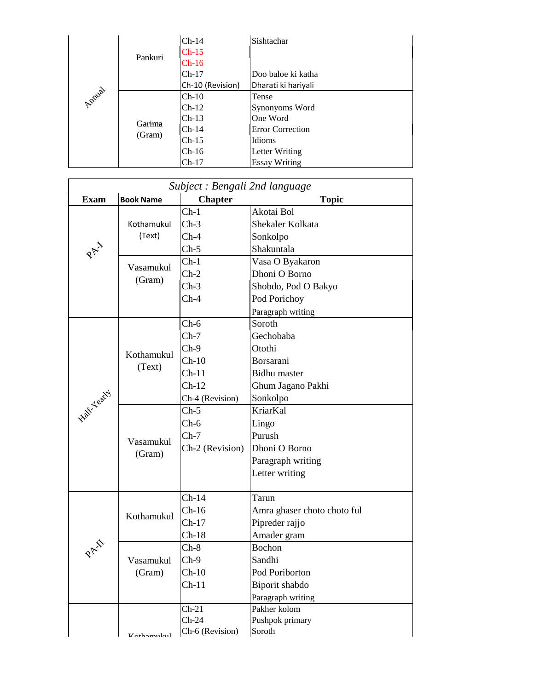|         |                  | $Ch-14$          | Sishtachar              |
|---------|------------------|------------------|-------------------------|
|         | Pankuri          | $Ch-15$          |                         |
|         |                  | $Ch-16$          |                         |
|         |                  | $Ch-17$          | Doo baloe ki katha      |
|         |                  | Ch-10 (Revision) | Dharati ki hariyali     |
| Applial | Garima<br>(Gram) | $Ch-10$          | Tense                   |
|         |                  | $Ch-12$          | Synonyoms Word          |
|         |                  | $Ch-13$          | One Word                |
|         |                  | $Ch-14$          | <b>Error Correction</b> |
|         |                  | $Ch-15$          | Idioms                  |
|         |                  | $Ch-16$          | Letter Writing          |
|         |                  | $Ch-17$          | <b>Essay Writing</b>    |

|                    | Subject : Bengali 2nd language |                 |                             |  |  |
|--------------------|--------------------------------|-----------------|-----------------------------|--|--|
| <b>Exam</b>        | <b>Book Name</b>               | <b>Chapter</b>  | <b>Topic</b>                |  |  |
|                    |                                | $Ch-1$          | Akotai Bol                  |  |  |
|                    | Kothamukul                     | $Ch-3$          | Shekaler Kolkata            |  |  |
|                    | (Text)                         | $Ch-4$          | Sonkolpo                    |  |  |
| PAI                |                                | $Ch-5$          | Shakuntala                  |  |  |
|                    |                                | $Ch-1$          | Vasa O Byakaron             |  |  |
|                    | Vasamukul                      | $Ch-2$          | Dhoni O Borno               |  |  |
|                    | (Gram)                         | $Ch-3$          | Shobdo, Pod O Bakyo         |  |  |
|                    |                                | $Ch-4$          | Pod Porichoy                |  |  |
|                    |                                |                 | Paragraph writing           |  |  |
|                    |                                | $Ch-6$          | Soroth                      |  |  |
|                    |                                | $Ch-7$          | Gechobaba                   |  |  |
|                    |                                | $Ch-9$          | Otothi                      |  |  |
|                    | Kothamukul                     | $Ch-10$         | Borsarani                   |  |  |
|                    | (Text)                         | $Ch-11$         | <b>Bidhu</b> master         |  |  |
|                    |                                | $Ch-12$         | Ghum Jagano Pakhi           |  |  |
| <b>Half-Yearty</b> |                                | Ch-4 (Revision) | Sonkolpo                    |  |  |
|                    |                                | $Ch-5$          | <b>KriarKal</b>             |  |  |
|                    |                                | $Ch-6$          | Lingo                       |  |  |
|                    | Vasamukul<br>(Gram)            | $Ch-7$          | Purush                      |  |  |
|                    |                                | Ch-2 (Revision) | Dhoni O Borno               |  |  |
|                    |                                |                 | Paragraph writing           |  |  |
|                    |                                |                 | Letter writing              |  |  |
|                    |                                |                 |                             |  |  |
|                    |                                | $Ch-14$         | Tarun                       |  |  |
|                    | Kothamukul                     | $Ch-16$         | Amra ghaser choto choto ful |  |  |
|                    |                                | $Ch-17$         | Pipreder rajjo              |  |  |
|                    |                                | $Ch-18$         | Amader gram                 |  |  |
| PAI                |                                | $Ch-8$          | Bochon                      |  |  |
|                    | Vasamukul                      | $Ch-9$          | Sandhi                      |  |  |
|                    | (Gram)                         | $Ch-10$         | Pod Poriborton              |  |  |
|                    |                                | $Ch-11$         | Biporit shabdo              |  |  |
|                    |                                |                 | Paragraph writing           |  |  |
|                    |                                | $Ch-21$         | Pakher kolom                |  |  |
|                    |                                | $Ch-24$         | Pushpok primary             |  |  |
|                    | $K$ othamulaul                 | Ch-6 (Revision) | Soroth                      |  |  |